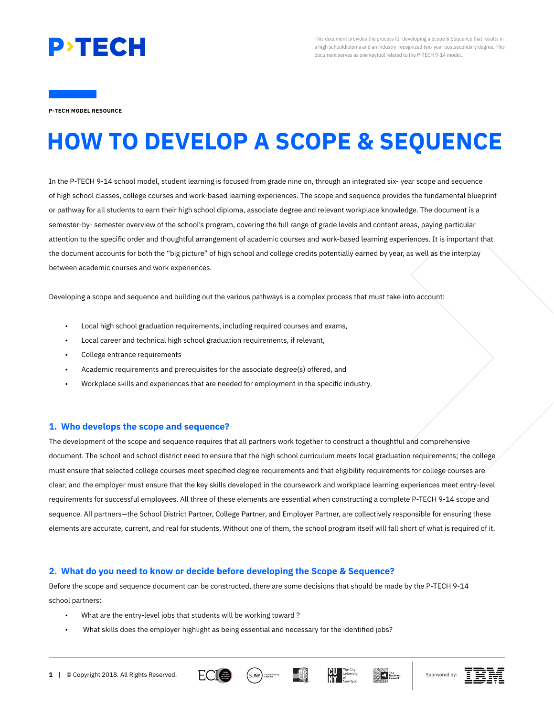

This document provides the process for developing a Scope & Sequence that results in a high schooldiploma and an industry-recognized two-year postsecondary degree. This document serves as one keytool related to the P-TECH 9-14 model.

**P-TECH MODEL RESOURCE**

# **HOW TO DEVELOP A SCOPE & SEQUENCE**

In the P-TECH 9-14 school model, student learning is focused from grade nine on, through an integrated six- year scope and sequence of high school classes, college courses and work-based learning experiences. The scope and sequence provides the fundamental blueprint or pathway for all students to earn their high school diploma, associate degree and relevant workplace knowledge. The document is a semester-by- semester overview of the school's program, covering the full range of grade levels and content areas, paying particular attention to the specific order and thoughtful arrangement of academic courses and work-based learning experiences. It is important that the document accounts for both the "big picture" of high school and college credits potentially earned by year, as well as the interplay between academic courses and work experiences.

Developing a scope and sequence and building out the various pathways is a complex process that must take into account:

- Local high school graduation requirements, including required courses and exams,
- Local career and technical high school graduation requirements, if relevant,
- College entrance requirements
- Academic requirements and prerequisites for the associate degree(s) offered, and
- Workplace skills and experiences that are needed for employment in the specific industry.

#### **1. Who develops the scope and sequence?**

The development of the scope and sequence requires that all partners work together to construct a thoughtful and comprehensive document. The school and school district need to ensure that the high school curriculum meets local graduation requirements; the college must ensure that selected college courses meet specified degree requirements and that eligibility requirements for college courses are clear; and the employer must ensure that the key skills developed in the coursework and workplace learning experiences meet entry-level requirements for successful employees. All three of these elements are essential when constructing a complete P-TECH 9-14 scope and sequence. All partners—the School District Partner, College Partner, and Employer Partner, are collectively responsible for ensuring these elements are accurate, current, and real for students. Without one of them, the school program itself will fall short of what is required of it.

#### **2. What do you need to know or decide before developing the Scope & Sequence?**

Before the scope and sequence document can be constructed, there are some decisions that should be made by the P-TECH 9-14 school partners:

- What are the entry-level jobs that students will be working toward ?
- What skills does the employer highlight as being essential and necessary for the identified jobs?









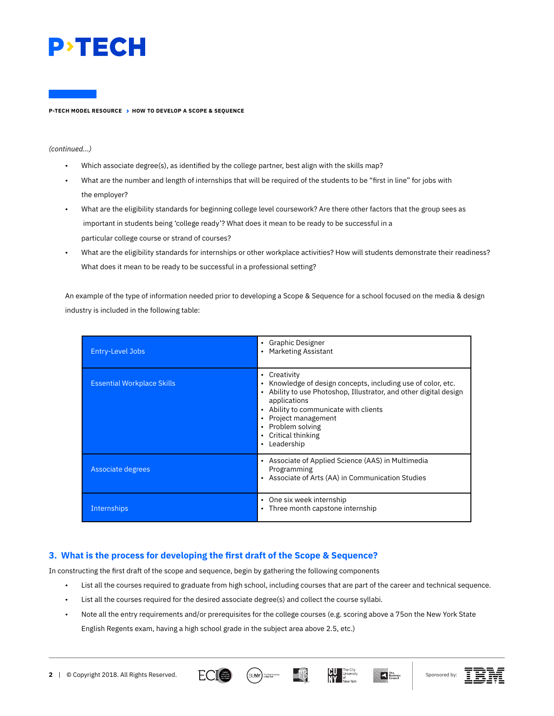

*(continued...)*

- Which associate degree(s), as identified by the college partner, best align with the skills map?
- What are the number and length of internships that will be required of the students to be "first in line" for jobs with the employer?
- What are the eligibility standards for beginning college level coursework? Are there other factors that the group sees as important in students being 'college ready'? What does it mean to be ready to be successful in a particular college course or strand of courses?
- What are the eligibility standards for internships or other workplace activities? How will students demonstrate their readiness? What does it mean to be ready to be successful in a professional setting?

An example of the type of information needed prior to developing a Scope & Sequence for a school focused on the media & design industry is included in the following table:

| <b>Entry-Level Jobs</b>           | • Graphic Designer<br><b>Marketing Assistant</b><br>٠                                                                                                                                                                                                                                                                                                                          |  |  |
|-----------------------------------|--------------------------------------------------------------------------------------------------------------------------------------------------------------------------------------------------------------------------------------------------------------------------------------------------------------------------------------------------------------------------------|--|--|
| <b>Essential Workplace Skills</b> | Creativity<br>٠<br>Knowledge of design concepts, including use of color, etc.<br>$\bullet$<br>Ability to use Photoshop, Illustrator, and other digital design<br>$\bullet$<br>applications<br>Ability to communicate with clients<br>$\bullet$<br>Project management<br>$\bullet$<br>Problem solving<br>$\bullet$<br>Critical thinking<br>$\bullet$<br>Leadership<br>$\bullet$ |  |  |
| Associate degrees                 | • Associate of Applied Science (AAS) in Multimedia<br>Programming<br>Associate of Arts (AA) in Communication Studies<br>$\bullet$                                                                                                                                                                                                                                              |  |  |
| Internships                       | One six week internship<br>$\bullet$<br>Three month capstone internship<br>٠                                                                                                                                                                                                                                                                                                   |  |  |

# **3. What is the process for developing the first draft of the Scope & Sequence?**

In constructing the first draft of the scope and sequence, begin by gathering the following components

- List all the courses required to graduate from high school, including courses that are part of the career and technical sequence.
- List all the courses required for the desired associate degree(s) and collect the course syllabi.
- Note all the entry requirements and/or prerequisites for the college courses (e.g. scoring above a 75on the New York State English Regents exam, having a high school grade in the subject area above 2.5, etc.)









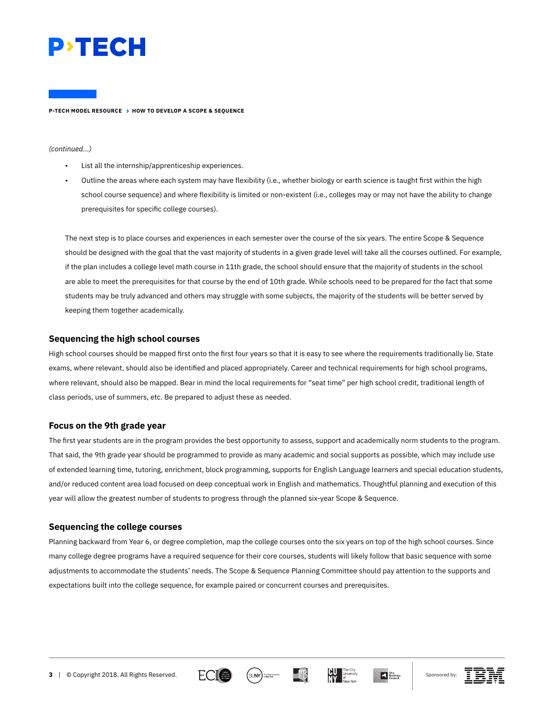

#### *(continued...)*

- List all the internship/apprenticeship experiences.
- Outline the areas where each system may have flexibility (i.e., whether biology or earth science is taught first within the high school course sequence) and where flexibility is limited or non-existent (i.e., colleges may or may not have the ability to change prerequisites for specific college courses).

The next step is to place courses and experiences in each semester over the course of the six years. The entire Scope & Sequence should be designed with the goal that the vast majority of students in a given grade level will take all the courses outlined. For example, if the plan includes a college level math course in 11th grade, the school should ensure that the majority of students in the school are able to meet the prerequisites for that course by the end of 10th grade. While schools need to be prepared for the fact that some students may be truly advanced and others may struggle with some subjects, the majority of the students will be better served by keeping them together academically.

## **Sequencing the high school courses**

High school courses should be mapped first onto the first four years so that it is easy to see where the requirements traditionally lie. State exams, where relevant, should also be identified and placed appropriately. Career and technical requirements for high school programs, where relevant, should also be mapped. Bear in mind the local requirements for "seat time" per high school credit, traditional length of class periods, use of summers, etc. Be prepared to adjust these as needed.

## **Focus on the 9th grade year**

The first year students are in the program provides the best opportunity to assess, support and academically norm students to the program. That said, the 9th grade year should be programmed to provide as many academic and social supports as possible, which may include use of extended learning time, tutoring, enrichment, block programming, supports for English Language learners and special education students, and/or reduced content area load focused on deep conceptual work in English and mathematics. Thoughtful planning and execution of this year will allow the greatest number of students to progress through the planned six-year Scope & Sequence.

## **Sequencing the college courses**

Planning backward from Year 6, or degree completion, map the college courses onto the six years on top of the high school courses. Since many college degree programs have a required sequence for their core courses, students will likely follow that basic sequence with some adjustments to accommodate the students' needs. The Scope & Sequence Planning Committee should pay attention to the supports and expectations built into the college sequence, for example paired or concurrent courses and prerequisites.









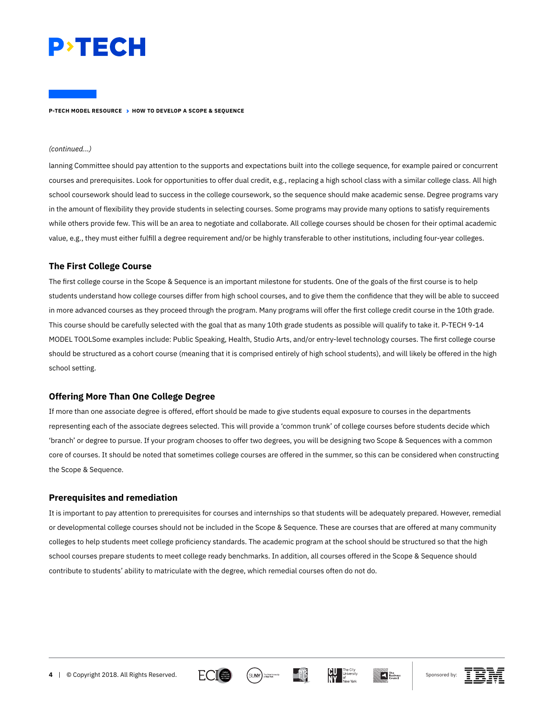

#### *(continued...)*

lanning Committee should pay attention to the supports and expectations built into the college sequence, for example paired or concurrent courses and prerequisites. Look for opportunities to offer dual credit, e.g., replacing a high school class with a similar college class. All high school coursework should lead to success in the college coursework, so the sequence should make academic sense. Degree programs vary in the amount of flexibility they provide students in selecting courses. Some programs may provide many options to satisfy requirements while others provide few. This will be an area to negotiate and collaborate. All college courses should be chosen for their optimal academic value, e.g., they must either fulfill a degree requirement and/or be highly transferable to other institutions, including four-year colleges.

## **The First College Course**

The first college course in the Scope & Sequence is an important milestone for students. One of the goals of the first course is to help students understand how college courses differ from high school courses, and to give them the confidence that they will be able to succeed in more advanced courses as they proceed through the program. Many programs will offer the first college credit course in the 10th grade. This course should be carefully selected with the goal that as many 10th grade students as possible will qualify to take it. P-TECH 9-14 MODEL TOOLSome examples include: Public Speaking, Health, Studio Arts, and/or entry-level technology courses. The first college course should be structured as a cohort course (meaning that it is comprised entirely of high school students), and will likely be offered in the high school setting.

#### **Offering More Than One College Degree**

If more than one associate degree is offered, effort should be made to give students equal exposure to courses in the departments representing each of the associate degrees selected. This will provide a 'common trunk' of college courses before students decide which 'branch' or degree to pursue. If your program chooses to offer two degrees, you will be designing two Scope & Sequences with a common core of courses. It should be noted that sometimes college courses are offered in the summer, so this can be considered when constructing the Scope & Sequence.

#### **Prerequisites and remediation**

It is important to pay attention to prerequisites for courses and internships so that students will be adequately prepared. However, remedial or developmental college courses should not be included in the Scope & Sequence. These are courses that are offered at many community colleges to help students meet college proficiency standards. The academic program at the school should be structured so that the high school courses prepare students to meet college ready benchmarks. In addition, all courses offered in the Scope & Sequence should contribute to students' ability to matriculate with the degree, which remedial courses often do not do.











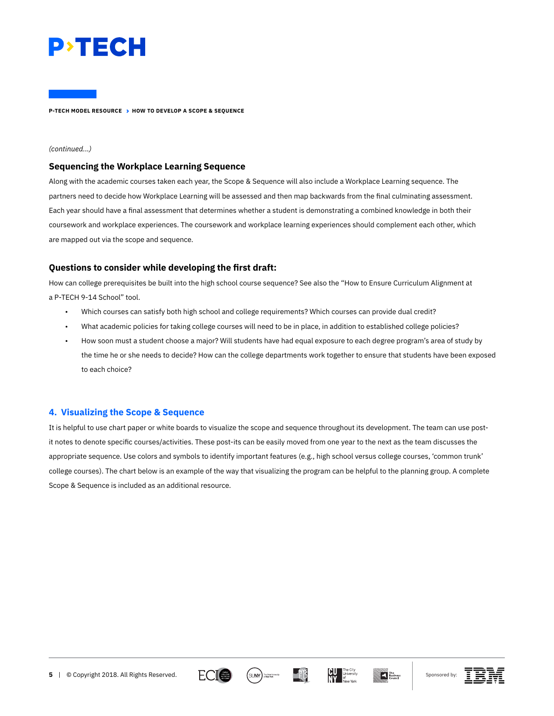

#### *(continued...)*

#### **Sequencing the Workplace Learning Sequence**

Along with the academic courses taken each year, the Scope & Sequence will also include a Workplace Learning sequence. The partners need to decide how Workplace Learning will be assessed and then map backwards from the final culminating assessment. Each year should have a final assessment that determines whether a student is demonstrating a combined knowledge in both their coursework and workplace experiences. The coursework and workplace learning experiences should complement each other, which are mapped out via the scope and sequence.

# **Questions to consider while developing the first draft:**

How can college prerequisites be built into the high school course sequence? See also the "How to Ensure Curriculum Alignment at a P-TECH 9-14 School" tool.

- Which courses can satisfy both high school and college requirements? Which courses can provide dual credit?
- What academic policies for taking college courses will need to be in place, in addition to established college policies?
- How soon must a student choose a major? Will students have had equal exposure to each degree program's area of study by the time he or she needs to decide? How can the college departments work together to ensure that students have been exposed to each choice?

# **4. Visualizing the Scope & Sequence**

It is helpful to use chart paper or white boards to visualize the scope and sequence throughout its development. The team can use postit notes to denote specific courses/activities. These post-its can be easily moved from one year to the next as the team discusses the appropriate sequence. Use colors and symbols to identify important features (e.g., high school versus college courses, 'common trunk' college courses). The chart below is an example of the way that visualizing the program can be helpful to the planning group. A complete Scope & Sequence is included as an additional resource.











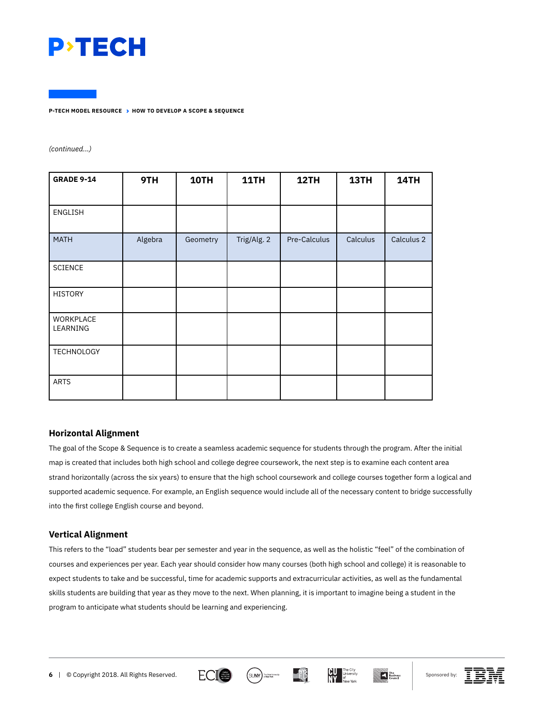

*(continued...)*

| <b>GRADE 9-14</b>            | 9TH     | 10TH     | 11TH        | 12TH         | 13TH     | 14TH       |
|------------------------------|---------|----------|-------------|--------------|----------|------------|
|                              |         |          |             |              |          |            |
| ENGLISH                      |         |          |             |              |          |            |
| <b>MATH</b>                  | Algebra | Geometry | Trig/Alg. 2 | Pre-Calculus | Calculus | Calculus 2 |
| <b>SCIENCE</b>               |         |          |             |              |          |            |
| <b>HISTORY</b>               |         |          |             |              |          |            |
| <b>WORKPLACE</b><br>LEARNING |         |          |             |              |          |            |
| <b>TECHNOLOGY</b>            |         |          |             |              |          |            |
| <b>ARTS</b>                  |         |          |             |              |          |            |

# **Horizontal Alignment**

The goal of the Scope & Sequence is to create a seamless academic sequence for students through the program. After the initial map is created that includes both high school and college degree coursework, the next step is to examine each content area strand horizontally (across the six years) to ensure that the high school coursework and college courses together form a logical and supported academic sequence. For example, an English sequence would include all of the necessary content to bridge successfully into the first college English course and beyond.

# **Vertical Alignment**

This refers to the "load" students bear per semester and year in the sequence, as well as the holistic "feel" of the combination of courses and experiences per year. Each year should consider how many courses (both high school and college) it is reasonable to expect students to take and be successful, time for academic supports and extracurricular activities, as well as the fundamental skills students are building that year as they move to the next. When planning, it is important to imagine being a student in the program to anticipate what students should be learning and experiencing.









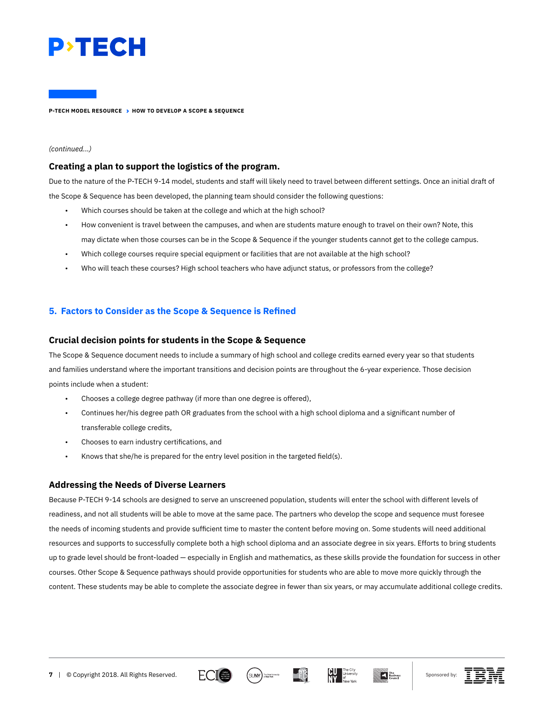

#### *(continued...)*

## **Creating a plan to support the logistics of the program.**

Due to the nature of the P-TECH 9-14 model, students and staff will likely need to travel between different settings. Once an initial draft of the Scope & Sequence has been developed, the planning team should consider the following questions:

- Which courses should be taken at the college and which at the high school?
- How convenient is travel between the campuses, and when are students mature enough to travel on their own? Note, this may dictate when those courses can be in the Scope & Sequence if the younger students cannot get to the college campus.
- Which college courses require special equipment or facilities that are not available at the high school?
- Who will teach these courses? High school teachers who have adjunct status, or professors from the college?

# **5. Factors to Consider as the Scope & Sequence is Refined**

## **Crucial decision points for students in the Scope & Sequence**

The Scope & Sequence document needs to include a summary of high school and college credits earned every year so that students and families understand where the important transitions and decision points are throughout the 6-year experience. Those decision points include when a student:

- Chooses a college degree pathway (if more than one degree is offered),
- Continues her/his degree path OR graduates from the school with a high school diploma and a significant number of transferable college credits,
- Chooses to earn industry certifications, and
- Knows that she/he is prepared for the entry level position in the targeted field(s).

# **Addressing the Needs of Diverse Learners**

Because P-TECH 9-14 schools are designed to serve an unscreened population, students will enter the school with different levels of readiness, and not all students will be able to move at the same pace. The partners who develop the scope and sequence must foresee the needs of incoming students and provide sufficient time to master the content before moving on. Some students will need additional resources and supports to successfully complete both a high school diploma and an associate degree in six years. Efforts to bring students up to grade level should be front-loaded — especially in English and mathematics, as these skills provide the foundation for success in other courses. Other Scope & Sequence pathways should provide opportunities for students who are able to move more quickly through the content. These students may be able to complete the associate degree in fewer than six years, or may accumulate additional college credits.









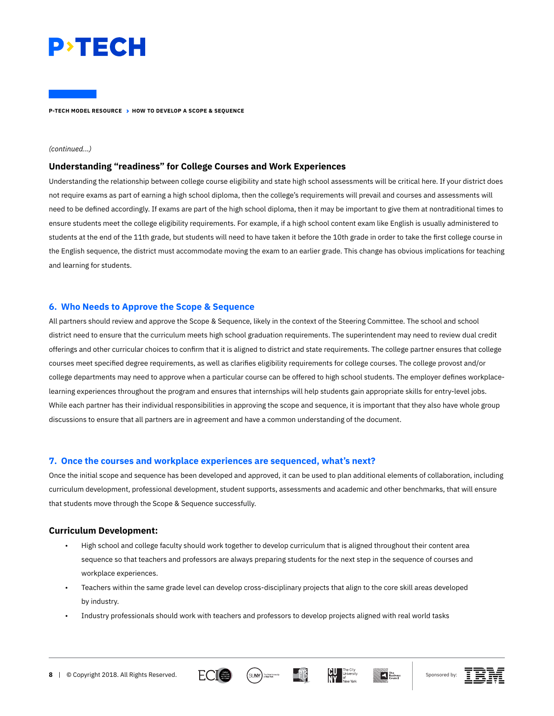

#### *(continued...)*

#### **Understanding "readiness" for College Courses and Work Experiences**

Understanding the relationship between college course eligibility and state high school assessments will be critical here. If your district does not require exams as part of earning a high school diploma, then the college's requirements will prevail and courses and assessments will need to be defined accordingly. If exams are part of the high school diploma, then it may be important to give them at nontraditional times to ensure students meet the college eligibility requirements. For example, if a high school content exam like English is usually administered to students at the end of the 11th grade, but students will need to have taken it before the 10th grade in order to take the first college course in the English sequence, the district must accommodate moving the exam to an earlier grade. This change has obvious implications for teaching and learning for students.

## **6. Who Needs to Approve the Scope & Sequence**

All partners should review and approve the Scope & Sequence, likely in the context of the Steering Committee. The school and school district need to ensure that the curriculum meets high school graduation requirements. The superintendent may need to review dual credit offerings and other curricular choices to confirm that it is aligned to district and state requirements. The college partner ensures that college courses meet specified degree requirements, as well as clarifies eligibility requirements for college courses. The college provost and/or college departments may need to approve when a particular course can be offered to high school students. The employer defines workplacelearning experiences throughout the program and ensures that internships will help students gain appropriate skills for entry-level jobs. While each partner has their individual responsibilities in approving the scope and sequence, it is important that they also have whole group discussions to ensure that all partners are in agreement and have a common understanding of the document.

## **7. Once the courses and workplace experiences are sequenced, what's next?**

Once the initial scope and sequence has been developed and approved, it can be used to plan additional elements of collaboration, including curriculum development, professional development, student supports, assessments and academic and other benchmarks, that will ensure that students move through the Scope & Sequence successfully.

#### **Curriculum Development:**

- High school and college faculty should work together to develop curriculum that is aligned throughout their content area sequence so that teachers and professors are always preparing students for the next step in the sequence of courses and workplace experiences.
- Teachers within the same grade level can develop cross-disciplinary projects that align to the core skill areas developed by industry.
- Industry professionals should work with teachers and professors to develop projects aligned with real world tasks









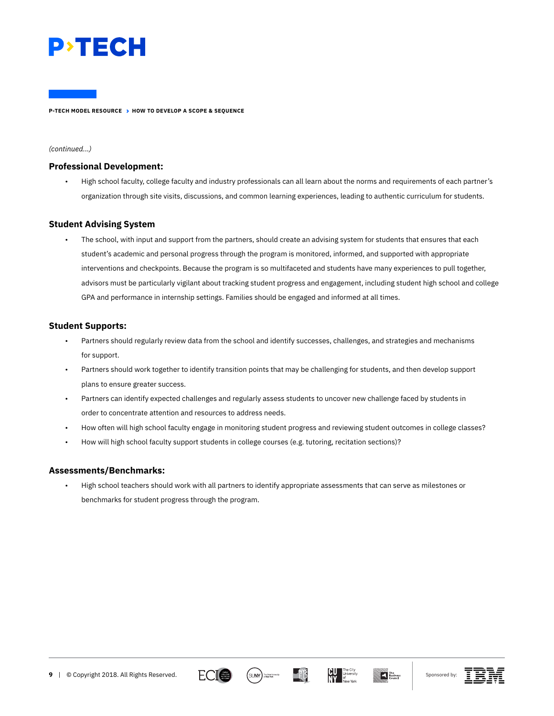

#### *(continued...)*

## **Professional Development:**

• High school faculty, college faculty and industry professionals can all learn about the norms and requirements of each partner's organization through site visits, discussions, and common learning experiences, leading to authentic curriculum for students.

# **Student Advising System**

The school, with input and support from the partners, should create an advising system for students that ensures that each student's academic and personal progress through the program is monitored, informed, and supported with appropriate interventions and checkpoints. Because the program is so multifaceted and students have many experiences to pull together, advisors must be particularly vigilant about tracking student progress and engagement, including student high school and college GPA and performance in internship settings. Families should be engaged and informed at all times.

# **Student Supports:**

- Partners should regularly review data from the school and identify successes, challenges, and strategies and mechanisms for support.
- Partners should work together to identify transition points that may be challenging for students, and then develop support plans to ensure greater success.
- Partners can identify expected challenges and regularly assess students to uncover new challenge faced by students in order to concentrate attention and resources to address needs.
- How often will high school faculty engage in monitoring student progress and reviewing student outcomes in college classes?
- How will high school faculty support students in college courses (e.g. tutoring, recitation sections)?

## **Assessments/Benchmarks:**

• High school teachers should work with all partners to identify appropriate assessments that can serve as milestones or benchmarks for student progress through the program.